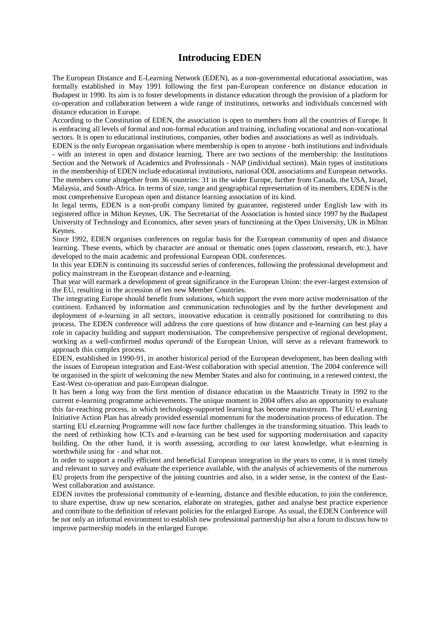### **Introducing EDEN**

The European Distance and E-Learning Network (EDEN), as a non-governmental educational association, was formally established in May 1991 following the first pan-European conference on distance education in Budapest in 1990. Its aim is to foster developments in distance education through the provision of a platform for co-operation and collaboration between a wide range of institutions, networks and individuals concerned with distance education in Europe.

According to the Constitution of EDEN, the association is open to members from all the countries of Europe. It is embracing all levels of formal and non-formal education and training, including vocational and non-vocational sectors. It is open to educational institutions, companies, other bodies and associations as well as individuals.

EDEN is the only European organisation where membership is open to anyone - both institutions and individuals - with an interest in open and distance learning. There are two sections of the membership: the Institutions Section and the Network of Academics and Professionals - NAP (individual section). Main types of institutions in the membership of EDEN include educational institutions, national ODL associations and European networks. The members come altogether from 36 countries: 31 in the wider Europe, further from Canada, the USA, Israel, Malaysia, and South-Africa. In terms of size, range and geographical representation of its members, EDEN is the most comprehensive European open and distance learning association of its kind.

In legal terms, EDEN is a non-profit company limited by guarantee, registered under English law with its registered office in Milton Keynes, UK. The Secretariat of the Association is hosted since 1997 by the Budapest University of Technology and Economics, after seven years of functioning at the Open University, UK in Milton Keynes.

Since 1992, EDEN organises conferences on regular basis for the European community of open and distance learning. These events, which by character are annual or thematic ones (open classroom, research, etc.), have developed to the main academic and professional European ODL conferences.

In this year EDEN is continuing its successful series of conferences, following the professional development and policy mainstream in the European distance and e-learning.

That year will earmark a development of great significance in the European Union: the ever-largest extension of the EU, resulting in the accession of ten new Member Countries.

The integrating Europe should benefit from solutions, which support the even more active modernisation of the continent. Enhanced by information and communication technologies and by the further development and deployment of e-learning in all sectors, innovative education is centrally positioned for contributing to this process. The EDEN conference will address the core questions of how distance and e-learning can best play a role in capacity building and support modernisation. The comprehensive perspective of regional development, working as a well-confirmed *modus operandi* of the European Union, will serve as a relevant framework to approach this complex process.

EDEN, established in 1990-91, in another historical period of the European development, has been dealing with the issues of European integration and East-West collaboration with special attention. The 2004 conference will be organised in the spirit of welcoming the new Member States and also for continuing, in a renewed context, the East-West co-operation and pan-European dialogue.

It has been a long way from the first mention of distance education in the Maastricht Treaty in 1992 to the current e-learning programme achievements. The unique moment in 2004 offers also an opportunity to evaluate this far-reaching process, in which technology-supported learning has become mainstream. The EU eLearning Initiative Action Plan has already provided essential momentum for the modernisation process of education. The starting EU eLearning Programme will now face further challenges in the transforming situation. This leads to the need of rethinking how ICTs and e-learning can be best used for supporting modernisation and capacity building. On the other hand, it is worth assessing, according to our latest knowledge, what e-learning is worthwhile using for - and what not.

In order to support a really efficient and beneficial European integration in the years to come, it is most timely and relevant to survey and evaluate the experience available, with the analysis of achievements of the numerous EU projects from the perspective of the joining countries and also, in a wider sense, in the context of the East-West collaboration and assistance.

EDEN invites the professional community of e-learning, distance and flexible education, to join the conference, to share expertise, draw up new scenarios, elaborate on strategies, gather and analyse best practice experience and contribute to the definition of relevant policies for the enlarged Europe. As usual, the EDEN Conference will be not only an informal environment to establish new professional partnership but also a forum to discuss how to improve partnership models in the enlarged Europe.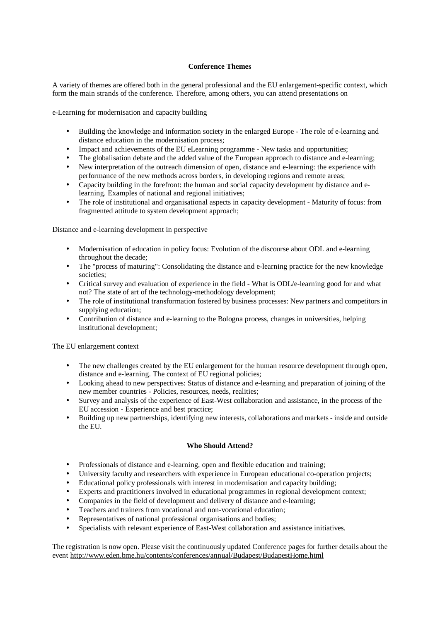#### **Conference Themes**

A variety of themes are offered both in the general professional and the EU enlargement-specific context, which form the main strands of the conference. Therefore, among others, you can attend presentations on

e-Learning for modernisation and capacity building

- Building the knowledge and information society in the enlarged Europe The role of e-learning and distance education in the modernisation process;
- Impact and achievements of the EU eLearning programme New tasks and opportunities;
- The globalisation debate and the added value of the European approach to distance and e-learning;
- New interpretation of the outreach dimension of open, distance and e-learning: the experience with performance of the new methods across borders, in developing regions and remote areas;
- Capacity building in the forefront: the human and social capacity development by distance and elearning. Examples of national and regional initiatives;
- The role of institutional and organisational aspects in capacity development Maturity of focus: from fragmented attitude to system development approach;

Distance and e-learning development in perspective

- Modernisation of education in policy focus: Evolution of the discourse about ODL and e-learning throughout the decade;
- The "process of maturing": Consolidating the distance and e-learning practice for the new knowledge societies;
- Critical survey and evaluation of experience in the field What is ODL/e-learning good for and what not? The state of art of the technology-methodology development;
- The role of institutional transformation fostered by business processes: New partners and competitors in supplying education;
- Contribution of distance and e-learning to the Bologna process, changes in universities, helping institutional development;

The EU enlargement context

- The new challenges created by the EU enlargement for the human resource development through open, distance and e-learning. The context of EU regional policies;
- Looking ahead to new perspectives: Status of distance and e-learning and preparation of joining of the new member countries - Policies, resources, needs, realities;
- Survey and analysis of the experience of East-West collaboration and assistance, in the process of the EU accession - Experience and best practice;
- Building up new partnerships, identifying new interests, collaborations and markets inside and outside the EU.

#### **Who Should Attend?**

- Professionals of distance and e-learning, open and flexible education and training;
- University faculty and researchers with experience in European educational co-operation projects;
- Educational policy professionals with interest in modernisation and capacity building;
- Experts and practitioners involved in educational programmes in regional development context;
- Companies in the field of development and delivery of distance and e-learning;
- Teachers and trainers from vocational and non-vocational education;
- Representatives of national professional organisations and bodies;
- Specialists with relevant experience of East-West collaboration and assistance initiatives.

The registration is now open. Please visit the continuously updated Conference pages for further details about the event <http://www.eden.bme.hu/contents/conferences/annual/Budapest/BudapestHome.html>